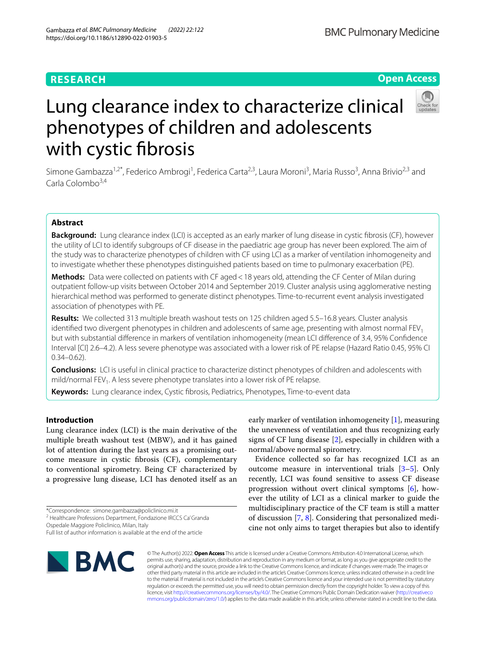# **RESEARCH**

# **Open Access**



# Lung clearance index to characterize clinical phenotypes of children and adolescents with cystic fibrosis

Simone Gambazza<sup>1,2\*</sup>, Federico Ambrogi<sup>1</sup>, Federica Carta<sup>2,3</sup>, Laura Moroni<sup>3</sup>, Maria Russo<sup>3</sup>, Anna Brivio<sup>2,3</sup> and Carla Colombo<sup>3,4</sup>

# **Abstract**

**Background:** Lung clearance index (LCI) is accepted as an early marker of lung disease in cystic fbrosis (CF), however the utility of LCI to identify subgroups of CF disease in the paediatric age group has never been explored. The aim of the study was to characterize phenotypes of children with CF using LCI as a marker of ventilation inhomogeneity and to investigate whether these phenotypes distinguished patients based on time to pulmonary exacerbation (PE).

**Methods:** Data were collected on patients with CF aged < 18 years old, attending the CF Center of Milan during outpatient follow-up visits between October 2014 and September 2019. Cluster analysis using agglomerative nesting hierarchical method was performed to generate distinct phenotypes. Time-to-recurrent event analysis investigated association of phenotypes with PE.

**Results:** We collected 313 multiple breath washout tests on 125 children aged 5.5–16.8 years. Cluster analysis identified two divergent phenotypes in children and adolescents of same age, presenting with almost normal  $FEV<sub>1</sub>$ but with substantial diference in markers of ventilation inhomogeneity (mean LCI diference of 3.4, 95% Confdence Interval [CI] 2.6–4.2). A less severe phenotype was associated with a lower risk of PE relapse (Hazard Ratio 0.45, 95% CI  $0.34 - 0.62$ ).

**Conclusions:** LCI is useful in clinical practice to characterize distinct phenotypes of children and adolescents with mild/normal FEV<sub>1</sub>. A less severe phenotype translates into a lower risk of PE relapse.

**Keywords:** Lung clearance index, Cystic fbrosis, Pediatrics, Phenotypes, Time-to-event data

# **Introduction**

Lung clearance index (LCI) is the main derivative of the multiple breath washout test (MBW), and it has gained lot of attention during the last years as a promising outcome measure in cystic fbrosis (CF), complementary to conventional spirometry. Being CF characterized by a progressive lung disease, LCI has denoted itself as an

Ospedale Maggiore Policlinico, Milan, Italy

Full list of author information is available at the end of the article



early marker of ventilation inhomogeneity [[1\]](#page-6-0), measuring the unevenness of ventilation and thus recognizing early signs of CF lung disease [[2\]](#page-6-1), especially in children with a normal/above normal spirometry.

Evidence collected so far has recognized LCI as an outcome measure in interventional trials [[3–](#page-6-2)[5\]](#page-6-3). Only recently, LCI was found sensitive to assess CF disease progression without overt clinical symptoms [[6\]](#page-6-4), however the utility of LCI as a clinical marker to guide the multidisciplinary practice of the CF team is still a matter of discussion [\[7](#page-6-5), [8](#page-6-6)]. Considering that personalized medicine not only aims to target therapies but also to identify

© The Author(s) 2022. **Open Access** This article is licensed under a Creative Commons Attribution 4.0 International License, which permits use, sharing, adaptation, distribution and reproduction in any medium or format, as long as you give appropriate credit to the original author(s) and the source, provide a link to the Creative Commons licence, and indicate if changes were made. The images or other third party material in this article are included in the article's Creative Commons licence, unless indicated otherwise in a credit line to the material. If material is not included in the article's Creative Commons licence and your intended use is not permitted by statutory regulation or exceeds the permitted use, you will need to obtain permission directly from the copyright holder. To view a copy of this licence, visit [http://creativecommons.org/licenses/by/4.0/.](http://creativecommons.org/licenses/by/4.0/) The Creative Commons Public Domain Dedication waiver ([http://creativeco](http://creativecommons.org/publicdomain/zero/1.0/) [mmons.org/publicdomain/zero/1.0/](http://creativecommons.org/publicdomain/zero/1.0/)) applies to the data made available in this article, unless otherwise stated in a credit line to the data.

<sup>\*</sup>Correspondence: simone.gambazza@policlinico.mi.it

<sup>&</sup>lt;sup>2</sup> Healthcare Professions Department, Fondazione IRCCS Ca' Granda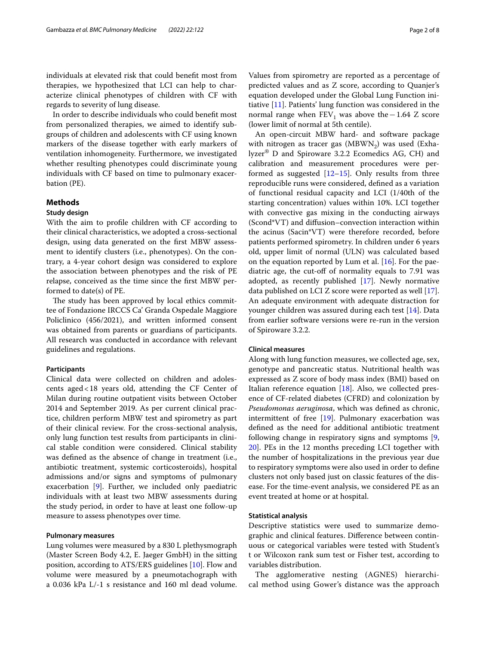individuals at elevated risk that could beneft most from therapies, we hypothesized that LCI can help to characterize clinical phenotypes of children with CF with regards to severity of lung disease.

In order to describe individuals who could beneft most from personalized therapies, we aimed to identify subgroups of children and adolescents with CF using known markers of the disease together with early markers of ventilation inhomogeneity. Furthermore, we investigated whether resulting phenotypes could discriminate young individuals with CF based on time to pulmonary exacerbation (PE).

# **Methods**

# **Study design**

With the aim to profle children with CF according to their clinical characteristics, we adopted a cross-sectional design, using data generated on the frst MBW assessment to identify clusters (i.e., phenotypes). On the contrary, a 4-year cohort design was considered to explore the association between phenotypes and the risk of PE relapse, conceived as the time since the frst MBW performed to date(s) of PE.

The study has been approved by local ethics committee of Fondazione IRCCS Ca' Granda Ospedale Maggiore Policlinico (456/2021), and written informed consent was obtained from parents or guardians of participants. All research was conducted in accordance with relevant guidelines and regulations.

# **Participants**

Clinical data were collected on children and adolescents aged<18 years old, attending the CF Center of Milan during routine outpatient visits between October 2014 and September 2019. As per current clinical practice, children perform MBW test and spirometry as part of their clinical review. For the cross-sectional analysis, only lung function test results from participants in clinical stable condition were considered. Clinical stability was defned as the absence of change in treatment (i.e., antibiotic treatment, systemic corticosteroids), hospital admissions and/or signs and symptoms of pulmonary exacerbation [\[9](#page-6-7)]. Further, we included only paediatric individuals with at least two MBW assessments during the study period, in order to have at least one follow-up measure to assess phenotypes over time.

# **Pulmonary measures**

Lung volumes were measured by a 830 L plethysmograph (Master Screen Body 4.2, E. Jaeger GmbH) in the sitting position, according to ATS/ERS guidelines [[10](#page-6-8)]. Flow and volume were measured by a pneumotachograph with a 0.036 kPa L/-1 s resistance and 160 ml dead volume.

Values from spirometry are reported as a percentage of predicted values and as Z score, according to Quanjer's equation developed under the Global Lung Function initiative [[11\]](#page-6-9). Patients' lung function was considered in the normal range when  $FEV_1$  was above the −1.64 Z score (lower limit of normal at 5th centile).

An open-circuit MBW hard- and software package with nitrogen as tracer gas  $(MBWN<sub>2</sub>)$  was used (Exhalyzer® D and Spiroware 3.2.2 Ecomedics AG, CH) and calibration and measurement procedures were performed as suggested  $[12–15]$  $[12–15]$  $[12–15]$ . Only results from three reproducible runs were considered, defned as a variation of functional residual capacity and LCI (1/40th of the starting concentration) values within 10%. LCI together with convective gas mixing in the conducting airways (Scond\*VT) and difusion–convection interaction within the acinus (Sacin\*VT) were therefore recorded, before patients performed spirometry. In children under 6 years old, upper limit of normal (ULN) was calculated based on the equation reported by Lum et al.  $[16]$  $[16]$  $[16]$ . For the paediatric age, the cut-off of normality equals to 7.91 was adopted, as recently published [\[17\]](#page-6-13). Newly normative data published on LCI Z score were reported as well [\[17](#page-6-13)]. An adequate environment with adequate distraction for younger children was assured during each test [\[14](#page-6-14)]. Data from earlier software versions were re-run in the version of Spiroware 3.2.2.

# **Clinical measures**

Along with lung function measures, we collected age, sex, genotype and pancreatic status. Nutritional health was expressed as Z score of body mass index (BMI) based on Italian reference equation  $[18]$  $[18]$ . Also, we collected presence of CF-related diabetes (CFRD) and colonization by *Pseudomonas aeruginosa*, which was defned as chronic, intermittent of free [[19\]](#page-6-16). Pulmonary exacerbation was defned as the need for additional antibiotic treatment following change in respiratory signs and symptoms [\[9](#page-6-7), [20\]](#page-6-17). PEs in the 12 months preceding LCI together with the number of hospitalizations in the previous year due to respiratory symptoms were also used in order to defne clusters not only based just on classic features of the disease. For the time-event analysis, we considered PE as an event treated at home or at hospital.

# **Statistical analysis**

Descriptive statistics were used to summarize demographic and clinical features. Diference between continuous or categorical variables were tested with Student's t or Wilcoxon rank sum test or Fisher test, according to variables distribution.

The agglomerative nesting (AGNES) hierarchical method using Gower's distance was the approach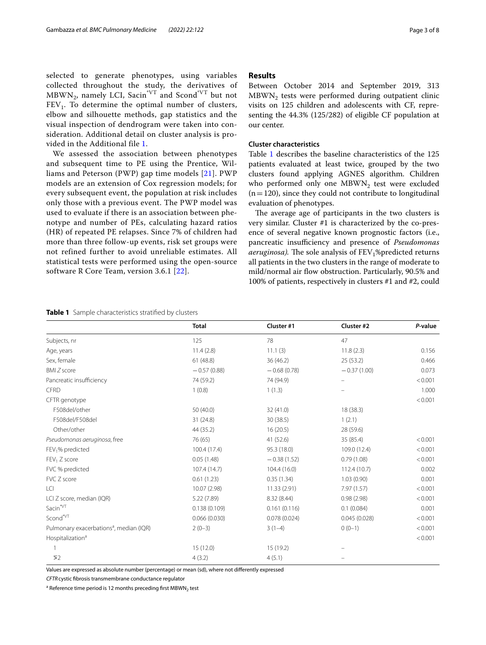selected to generate phenotypes, using variables collected throughout the study, the derivatives of MBWN<sub>2</sub>, namely LCI, Sacin<sup>\*VT</sup> and Scond<sup>\*VT</sup> but not  $FEV<sub>1</sub>$ . To determine the optimal number of clusters, elbow and silhouette methods, gap statistics and the visual inspection of dendrogram were taken into consideration. Additional detail on cluster analysis is provided in the Additional file [1.](#page-6-18)

We assessed the association between phenotypes and subsequent time to PE using the Prentice, Williams and Peterson (PWP) gap time models [[21](#page-6-19)]. PWP models are an extension of Cox regression models; for every subsequent event, the population at risk includes only those with a previous event. The PWP model was used to evaluate if there is an association between phenotype and number of PEs, calculating hazard ratios (HR) of repeated PE relapses. Since 7% of children had more than three follow-up events, risk set groups were not refined further to avoid unreliable estimates. All statistical tests were performed using the open-source software R Core Team, version 3.6.1 [[22](#page-6-20)].

# **Results**

Between October 2014 and September 2019, 313  $MBWN<sub>2</sub>$  tests were performed during outpatient clinic visits on 125 children and adolescents with CF, representing the 44.3% (125/282) of eligible CF population at our center.

# **Cluster characteristics**

Table [1](#page-2-0) describes the baseline characteristics of the 125 patients evaluated at least twice, grouped by the two clusters found applying AGNES algorithm. Children who performed only one  $MBWN<sub>2</sub>$  test were excluded  $(n=120)$ , since they could not contribute to longitudinal evaluation of phenotypes.

The average age of participants in the two clusters is very similar. Cluster #1 is characterized by the co-presence of several negative known prognostic factors (i.e., pancreatic insufficiency and presence of *Pseudomonas aeruginosa)*. The sole analysis of  $FEV<sub>1</sub>%predicted returns$ all patients in the two clusters in the range of moderate to mild/normal air fow obstruction. Particularly, 90.5% and 100% of patients, respectively in clusters #1 and #2, could

### <span id="page-2-0"></span>**Table 1** Sample characteristics stratifed by clusters

|                                                     | <b>Total</b>  | Cluster #1    | Cluster #2               | P-value |
|-----------------------------------------------------|---------------|---------------|--------------------------|---------|
| Subjects, nr                                        | 125           | 78            | 47                       |         |
| Age, years                                          | 11.4(2.8)     | 11.1(3)       | 11.8(2.3)                | 0.156   |
| Sex, female                                         | 61(48.8)      | 36 (46.2)     | 25(53.2)                 | 0.466   |
| <b>BMI Z score</b>                                  | $-0.57(0.88)$ | $-0.68(0.78)$ | $-0.37(1.00)$            | 0.073   |
| Pancreatic insufficiency                            | 74 (59.2)     | 74 (94.9)     | $\overline{\phantom{m}}$ | < 0.001 |
| CFRD                                                | 1(0.8)        | 1(1.3)        |                          | 1.000   |
| CFTR genotype                                       |               |               |                          | < 0.001 |
| F508del/other                                       | 50 (40.0)     | 32(41.0)      | 18 (38.3)                |         |
| F508del/F508del                                     | 31 (24.8)     | 30 (38.5)     | 1(2.1)                   |         |
| Other/other                                         | 44 (35.2)     | 16(20.5)      | 28 (59.6)                |         |
| Pseudomonas aeruginosa, free                        | 76 (65)       | 41 (52.6)     | 35 (85.4)                | < 0.001 |
| FEV <sub>1</sub> % predicted                        | 100.4 (17.4)  | 95.3 (18.0)   | 109.0 (12.4)             | < 0.001 |
| FEV <sub>1</sub> Z score                            | 0.05(1.48)    | $-0.38(1.52)$ | 0.79(1.08)               | < 0.001 |
| FVC % predicted                                     | 107.4 (14.7)  | 104.4 (16.0)  | 112.4 (10.7)             | 0.002   |
| FVC Z score                                         | 0.61(1.23)    | 0.35(1.34)    | 1.03(0.90)               | 0.001   |
| LCI                                                 | 10.07 (2.98)  | 11.33 (2.91)  | 7.97(1.57)               | < 0.001 |
| LCI Z score, median (IQR)                           | 5.22 (7.89)   | 8.32 (8.44)   | 0.98(2.98)               | < 0.001 |
| Sacin <sup>*VT</sup>                                | 0.138(0.109)  | 0.161(0.116)  | 0.1(0.084)               | 0.001   |
| Scond <sup>*VT</sup>                                | 0.066(0.030)  | 0.078(0.024)  | 0.045(0.028)             | < 0.001 |
| Pulmonary exacerbations <sup>a</sup> , median (IQR) | $2(0-3)$      | $3(1-4)$      | $0(0-1)$                 | < 0.001 |
| Hospitalization <sup>a</sup>                        |               |               |                          | < 0.001 |
|                                                     | 15(12.0)      | 15 (19.2)     |                          |         |
| 52                                                  | 4(3.2)        | 4(5.1)        |                          |         |

Values are expressed as absolute number (percentage) or mean (sd), where not diferently expressed

*CFTR*cystic fbrosis transmembrane conductance regulator

<sup>a</sup> Reference time period is 12 months preceding first MBWN<sub>2</sub> test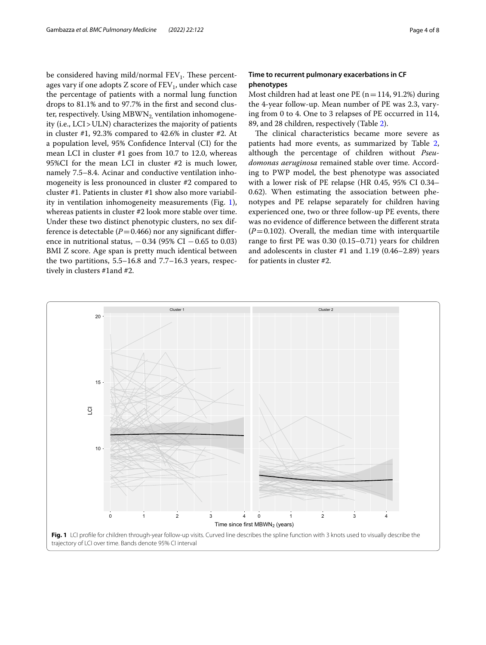be considered having mild/normal  $FEV<sub>1</sub>$ . These percentages vary if one adopts  $Z$  score of  $FEV_1$ , under which case the percentage of patients with a normal lung function drops to 81.1% and to 97.7% in the frst and second cluster, respectively. Using  $MBWN<sub>2</sub>$  ventilation inhomogeneity (i.e., LCI>ULN) characterizes the majority of patients in cluster #1, 92.3% compared to 42.6% in cluster #2. At a population level, 95% Confdence Interval (CI) for the mean LCI in cluster #1 goes from 10.7 to 12.0, whereas 95%CI for the mean LCI in cluster #2 is much lower, namely 7.5–8.4. Acinar and conductive ventilation inhomogeneity is less pronounced in cluster #2 compared to cluster #1. Patients in cluster #1 show also more variability in ventilation inhomogeneity measurements (Fig. [1](#page-3-0)), whereas patients in cluster #2 look more stable over time. Under these two distinct phenotypic clusters, no sex difference is detectable  $(P=0.466)$  nor any significant difference in nutritional status,  $-0.34$  (95% CI  $-0.65$  to 0.03) BMI Z score. Age span is pretty much identical between the two partitions, 5.5–16.8 and 7.7–16.3 years, respectively in clusters #1and #2.

# **Time to recurrent pulmonary exacerbations in CF phenotypes**

Most children had at least one PE ( $n=114$ , 91.2%) during the 4-year follow-up. Mean number of PE was 2.3, varying from 0 to 4. One to 3 relapses of PE occurred in 114, 89, and 28 children, respectively (Table [2\)](#page-4-0).

The clinical characteristics became more severe as patients had more events, as summarized by Table [2](#page-4-0), although the percentage of children without *Pseudomonas aeruginosa* remained stable over time. According to PWP model, the best phenotype was associated with a lower risk of PE relapse (HR 0.45, 95% CI 0.34– 0.62). When estimating the association between phenotypes and PE relapse separately for children having experienced one, two or three follow-up PE events, there was no evidence of diference between the diferent strata  $(P=0.102)$ . Overall, the median time with interquartile range to frst PE was 0.30 (0.15–0.71) years for children and adolescents in cluster #1 and 1.19 (0.46–2.89) years for patients in cluster #2.

<span id="page-3-0"></span>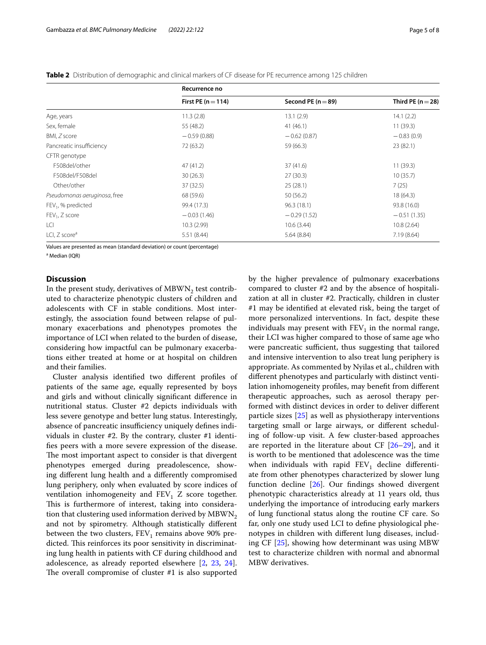<span id="page-4-0"></span>

|  | <b>Table 2</b> Distribution of demographic and clinical markers of CF disease for PE recurrence among 125 children |  |
|--|--------------------------------------------------------------------------------------------------------------------|--|
|--|--------------------------------------------------------------------------------------------------------------------|--|

|                              | Recurrence no      |                        |                       |  |
|------------------------------|--------------------|------------------------|-----------------------|--|
|                              | First PE $(n=114)$ | Second PE ( $n = 89$ ) | Third PE ( $n = 28$ ) |  |
| Age, years                   | 11.3(2.8)          | 13.1(2.9)              | 14.1(2.2)             |  |
| Sex, female                  | 55 (48.2)          | 41(46.1)               | 11(39.3)              |  |
| BMI, Z score                 | $-0.59(0.88)$      | $-0.62(0.87)$          | $-0.83(0.9)$          |  |
| Pancreatic insufficiency     | 72 (63.2)          | 59 (66.3)              | 23(82.1)              |  |
| CFTR genotype                |                    |                        |                       |  |
| F508del/other                | 47(41.2)           | 37(41.6)               | 11(39.3)              |  |
| F508del/F508del              | 30(26.3)           | 27(30.3)               | 10(35.7)              |  |
| Other/other                  | 37(32.5)           | 25(28.1)               | 7(25)                 |  |
| Pseudomonas aeruginosa, free | 68 (59.6)          | 50(56.2)               | 18(64.3)              |  |
| $FEV1$ , % predicted         | 99.4 (17.3)        | 96.3(18.1)             | 93.8 (16.0)           |  |
| $FEV1$ , Z score             | $-0.03(1.46)$      | $-0.29(1.52)$          | $-0.51(1.35)$         |  |
| LCI                          | 10.3(2.99)         | 10.6(3.44)             | 10.8(2.64)            |  |
| LCI, Z score <sup>a</sup>    | 5.51(8.44)         | 5.64(8.84)             | 7.19(8.64)            |  |

Values are presented as mean (standard deviation) or count (percentage)

<sup>a</sup> Median (IQR)

# **Discussion**

In the present study, derivatives of  $MBWN<sub>2</sub>$  test contributed to characterize phenotypic clusters of children and adolescents with CF in stable conditions. Most interestingly, the association found between relapse of pulmonary exacerbations and phenotypes promotes the importance of LCI when related to the burden of disease, considering how impactful can be pulmonary exacerbations either treated at home or at hospital on children and their families.

Cluster analysis identifed two diferent profles of patients of the same age, equally represented by boys and girls and without clinically signifcant diference in nutritional status. Cluster #2 depicts individuals with less severe genotype and better lung status. Interestingly, absence of pancreatic insufficiency uniquely defines individuals in cluster #2. By the contrary, cluster #1 identifes peers with a more severe expression of the disease. The most important aspect to consider is that divergent phenotypes emerged during preadolescence, showing diferent lung health and a diferently compromised lung periphery, only when evaluated by score indices of ventilation inhomogeneity and  $FEV<sub>1</sub>$  Z score together. This is furthermore of interest, taking into consideration that clustering used information derived by  $MBWN<sub>2</sub>$ and not by spirometry. Although statistically diferent between the two clusters,  $FEV<sub>1</sub>$  remains above 90% predicted. This reinforces its poor sensitivity in discriminating lung health in patients with CF during childhood and adolescence, as already reported elsewhere [\[2](#page-6-1), [23,](#page-6-21) [24](#page-6-22)]. The overall compromise of cluster  $#1$  is also supported by the higher prevalence of pulmonary exacerbations compared to cluster #2 and by the absence of hospitalization at all in cluster #2. Practically, children in cluster #1 may be identifed at elevated risk, being the target of more personalized interventions. In fact, despite these individuals may present with  $FEV<sub>1</sub>$  in the normal range, their LCI was higher compared to those of same age who were pancreatic sufficient, thus suggesting that tailored and intensive intervention to also treat lung periphery is appropriate. As commented by Nyilas et al., children with diferent phenotypes and particularly with distinct ventilation inhomogeneity profles, may beneft from diferent therapeutic approaches, such as aerosol therapy performed with distinct devices in order to deliver diferent particle sizes [\[25](#page-6-23)] as well as physiotherapy interventions targeting small or large airways, or diferent scheduling of follow-up visit. A few cluster-based approaches are reported in the literature about CF  $[26-29]$  $[26-29]$ , and it is worth to be mentioned that adolescence was the time when individuals with rapid  $FEV<sub>1</sub>$  decline differentiate from other phenotypes characterized by slower lung function decline [[26\]](#page-6-24). Our fndings showed divergent phenotypic characteristics already at 11 years old, thus underlying the importance of introducing early markers of lung functional status along the routine CF care. So far, only one study used LCI to defne physiological phenotypes in children with diferent lung diseases, including CF [\[25](#page-6-23)], showing how determinant was using MBW test to characterize children with normal and abnormal MBW derivatives.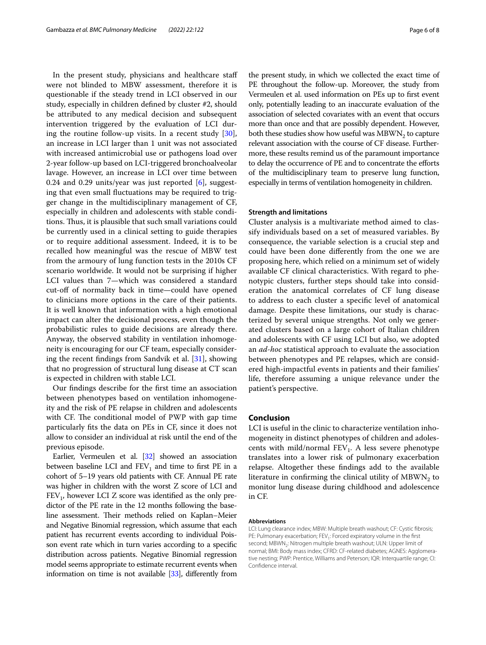In the present study, physicians and healthcare staff were not blinded to MBW assessment, therefore it is questionable if the steady trend in LCI observed in our study, especially in children defned by cluster #2, should be attributed to any medical decision and subsequent intervention triggered by the evaluation of LCI during the routine follow-up visits. In a recent study [\[30](#page-7-1)], an increase in LCI larger than 1 unit was not associated with increased antimicrobial use or pathogens load over 2-year follow-up based on LCI-triggered bronchoalveolar lavage. However, an increase in LCI over time between 0.24 and 0.29 units/year was just reported [\[6\]](#page-6-4), suggesting that even small fuctuations may be required to trigger change in the multidisciplinary management of CF, especially in children and adolescents with stable conditions. Thus, it is plausible that such small variations could be currently used in a clinical setting to guide therapies or to require additional assessment. Indeed, it is to be recalled how meaningful was the rescue of MBW test from the armoury of lung function tests in the 2010s CF scenario worldwide. It would not be surprising if higher LCI values than 7—which was considered a standard cut-of of normality back in time—could have opened to clinicians more options in the care of their patients. It is well known that information with a high emotional impact can alter the decisional process, even though the probabilistic rules to guide decisions are already there. Anyway, the observed stability in ventilation inhomogeneity is encouraging for our CF team, especially considering the recent fndings from Sandvik et al. [\[31\]](#page-7-2), showing that no progression of structural lung disease at CT scan is expected in children with stable LCI.

Our fndings describe for the frst time an association between phenotypes based on ventilation inhomogeneity and the risk of PE relapse in children and adolescents with CF. The conditional model of PWP with gap time particularly fts the data on PEs in CF, since it does not allow to consider an individual at risk until the end of the previous episode.

Earlier, Vermeulen et al. [\[32\]](#page-7-3) showed an association between baseline LCI and  $FEV_1$  and time to first PE in a cohort of 5–19 years old patients with CF. Annual PE rate was higher in children with the worst Z score of LCI and  $FEV<sub>1</sub>$ , however LCI Z score was identified as the only predictor of the PE rate in the 12 months following the baseline assessment. Their methods relied on Kaplan–Meier and Negative Binomial regression, which assume that each patient has recurrent events according to individual Poisson event rate which in turn varies according to a specifc distribution across patients. Negative Binomial regression model seems appropriate to estimate recurrent events when information on time is not available [\[33\]](#page-7-4), diferently from

the present study, in which we collected the exact time of PE throughout the follow-up. Moreover, the study from Vermeulen et al. used information on PEs up to frst event only, potentially leading to an inaccurate evaluation of the association of selected covariates with an event that occurs more than once and that are possibly dependent. However, both these studies show how useful was  $MBWN$ <sub>2</sub> to capture relevant association with the course of CF disease. Furthermore, these results remind us of the paramount importance to delay the occurrence of PE and to concentrate the efforts of the multidisciplinary team to preserve lung function, especially in terms of ventilation homogeneity in children.

# **Strength and limitations**

Cluster analysis is a multivariate method aimed to classify individuals based on a set of measured variables. By consequence, the variable selection is a crucial step and could have been done diferently from the one we are proposing here, which relied on a minimum set of widely available CF clinical characteristics. With regard to phenotypic clusters, further steps should take into consideration the anatomical correlates of CF lung disease to address to each cluster a specifc level of anatomical damage. Despite these limitations, our study is characterized by several unique strengths. Not only we generated clusters based on a large cohort of Italian children and adolescents with CF using LCI but also, we adopted an *ad-hoc* statistical approach to evaluate the association between phenotypes and PE relapses, which are considered high-impactful events in patients and their families' life, therefore assuming a unique relevance under the patient's perspective.

# **Conclusion**

LCI is useful in the clinic to characterize ventilation inhomogeneity in distinct phenotypes of children and adolescents with mild/normal  $FEV<sub>1</sub>$ . A less severe phenotype translates into a lower risk of pulmonary exacerbation relapse. Altogether these fndings add to the available literature in confirming the clinical utility of  $MBWN<sub>2</sub>$  to monitor lung disease during childhood and adolescence in CF.

#### **Abbreviations**

LCI: Lung clearance index; MBW: Multiple breath washout; CF: Cystic fbrosis; PE: Pulmonary exacerbation; FEV<sub>1</sub>: Forced expiratory volume in the first second; MBWN<sub>2</sub>: Nitrogen multiple breath washout; ULN: Upper limit of normal; BMI: Body mass index; CFRD: CF-related diabetes; AGNES: Agglomerative nesting; PWP: Prentice, Williams and Peterson; IQR: Interquartile range; CI: Confdence interval.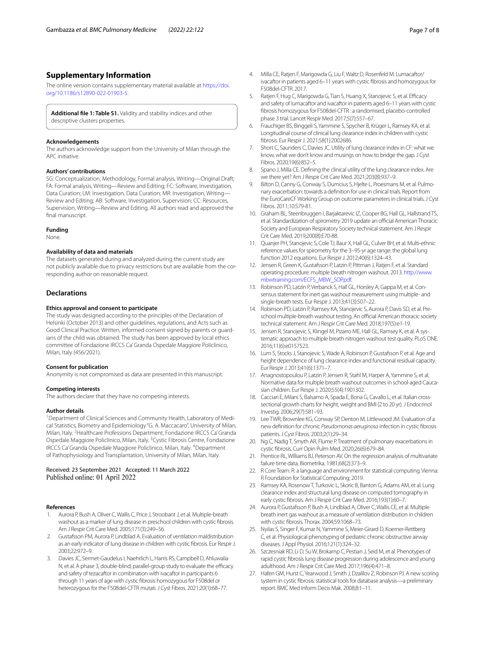# **Supplementary Information**

The online version contains supplementary material available at [https://doi.](https://doi.org/10.1186/s12890-022-01903-5) [org/10.1186/s12890-022-01903-5](https://doi.org/10.1186/s12890-022-01903-5).

<span id="page-6-18"></span>**Additional fle 1: Table S1.** Validity and stability indices and other descriptive clusters properties.

#### **Acknowledgements**

The authors acknowledge support from the University of Milan through the APC initiative.

#### **Authors' contributions**

SG: Conceptualization, Methodology, Formal analysis, Writing—Original Draft; FA: Formal analysis, Writing—Review and Editing; FC: Software, Investigation, Data Curation; LM: Investigation, Data Curation; MR: Investigation, Writing— Review and Editing; AB: Software, Investigation, Supervision; CC: Resources, Supervision, Writing—Review and Editing. All authors read and approved the final manuscript.

#### **Funding**

None.

# **Availability of data and materials**

The datasets generated during and analyzed during the current study are not publicly available due to privacy restrictions but are available from the corresponding author on reasonable request.

# **Declarations**

#### **Ethics approval and consent to participate**

The study was designed according to the principles of the Declaration of Helsinki (October 2013) and other guidelines, regulations, and Acts such as Good Clinical Practice. Written, informed consent signed by parents or guardians of the child was obtained. The study has been approved by local ethics committee of Fondazione IRCCS Ca' Granda Ospedale Maggiore Policlinico, Milan, Italy (456/2021).

#### **Consent for publication**

Anonymity is not compromised as data are presented in this manuscript.

#### **Competing interests**

The authors declare that they have no competing interests.

#### **Author details**

<sup>1</sup> Department of Clinical Sciences and Community Health, Laboratory of Medical Statistics, Biometry and Epidemiology "G. A. Maccacaro", University of Milan, Milan, Italy. <sup>2</sup> Healthcare Professions Department, Fondazione IRCCS Ca' Granda Ospedale Maggiore Policlinico, Milan, Italy. <sup>3</sup>Cystic Fibrosis Centre, Fondazione IRCCS Ca' Granda Ospedale Maggiore Policlinico, Milan, Italy. <sup>4</sup>Department of Pathophysiology and Transplantation, University of Milan, Milan, Italy.

# Received: 23 September 2021 Accepted: 11 March 2022 Published online: 01 April 2022

#### **References**

- <span id="page-6-0"></span>Aurora P, Bush A, Oliver C, Wallis C, Price J, Stroobant J, et al. Multiple-breath washout as a marker of lung disease in preschool children with cystic fbrosis. Am J Respir Crit Care Med. 2005;171(3):249–56.
- <span id="page-6-1"></span>2. Gustafsson PM, Aurora P, Lindblad A. Evaluation of ventilation maldistribution as an early indicator of lung disease in children with cystic fbrosis. Eur Respir J. 2003;22:972–9.
- <span id="page-6-2"></span>Davies JC, Sermet-Gaudelus I, Naehrlich L, Harris RS, Campbell D, Ahluwalia N, et al. A phase 3, double-blind, parallel-group study to evaluate the efficacy and safety of tezacaftor in combination with ivacaftor in participants 6 through 11 years of age with cystic fbrosis homozygous for F508del or heterozygous for the F508del-CFTR mutati. J Cyst Fibros. 2021;20(1):68–77.
- 4. Milla CE, Ratjen F, Marigowda G, Liu F, Waltz D, Rosenfeld M. Lumacaftor/ ivacaftor in patients aged 6–11 years with cystic fbrosis and homozygous for F508del-CFTR. 2017.
- <span id="page-6-3"></span>5. Ratjen F, Hug C, Marigowda G, Tian S, Huang X, Stanojevic S, et al. Efficacy and safety of lumacaftor and ivacaftor in patients aged 6–11 years with cystic fbrosis homozygous for F508del-CFTR : a randomised, placebo-controlled phase 3 trial. Lancet Respir Med. 2017;5(7):557–67.
- <span id="page-6-4"></span>6. Frauchiger BS, Binggeli S, Yammine S, Spycher B, Krüger L, Ramsey KA, et al. Longitudinal course of clinical lung clearance index in children with cystic fbrosis. Eur Respir J. 2021;58(1):2002686.
- <span id="page-6-5"></span>7. Short C, Saunders C, Davies JC. Utility of lung clearance index in CF: what we know, what we don't know and musings on how to bridge the gap. J Cyst Fibros. 2020;19(6):852–5.
- <span id="page-6-6"></span>8. Spano J, Milla CE. Defining the clinical utility of the lung clearance index. Are we there yet? Am J Respir Crit Care Med. 2021;203(8):937–9.
- <span id="page-6-7"></span>9. Bilton D, Canny G, Conway S, Dumcius S, Hielte L, Proesmans M, et al. Pulmonary exacerbation: towards a defnition for use in clinical trials. Report from the EuroCareCF Working Group on outcome parameters in clinical trials. J Cyst Fibros. 2011;10:S79-81.
- <span id="page-6-8"></span>10. Graham BL, Steenbruggen I, Barjaktarevic IZ, Cooper BG, Hall GL, Hallstrand TS, et al. Standardization of spirometry 2019 update an official American Thoracic Society and European Respiratory Society technical statement. Am J Respir Crit Care Med. 2019;200(8):E70-88.
- <span id="page-6-9"></span>11. Quanjer PH, Stanojevic S, Cole TJ, Baur X, Hall GL, Culver BH, et al. Multi-ethnic reference values for spirometry for the 3–95-yr age range: the global lung function 2012 equations. Eur Respir J. 2012;40(6):1324–43.
- <span id="page-6-10"></span>12. Jensen R, Green K, Gustafsson P, Latzin P, Pittman J, Ratien E, et al. Standard operating procedure: multiple breath nitrogen washout. 2013. [http://www.](http://www.mbwtraining.com/ECFS_MBW_SOP.pdf) [mbwtraining.com/ECFS\\_MBW\\_SOP.pdf](http://www.mbwtraining.com/ECFS_MBW_SOP.pdf).
- 13. Robinson PD, Latzin P, Verbanck S, Hall GL, Horsley A, Gappa M, et al. Consensus statement for inert gas washout measurement using multiple- and single-breath tests. Eur Respir J. 2013;41(3):507–22.
- <span id="page-6-14"></span>14. Robinson PD, Latzin P, Ramsey KA, Stanojevic S, Aurora P, Davis SD, et al. Preschool multiple-breath washout testing. An official American thoracic society technical statement. Am J Respir Crit Care Med. 2018;197(5):e1-19.
- <span id="page-6-11"></span>15. Jensen R, Stanojevic S, Klingel M, Pizarro ME, Hall GL, Ramsey K, et al. A systematic approach to multiple breath nitrogen washout test quality. PLoS ONE. 2016;11(6):e0157523.
- <span id="page-6-12"></span>16. Lum S, Stocks J, Stanojevic S, Wade A, Robinson P, Gustafsson P, et al. Age and height dependence of lung clearance index and functional residual capacity. Eur Respir J. 2013;41(6):1371–7.
- <span id="page-6-13"></span>17. Anagnostopoulou P, Latzin P, Jensen R, Stahl M, Harper A, Yammine S, et al. Normative data for multiple breath washout outcomes in school-aged Caucasian children. Eur Respir J. 2020;55(4):1901302.
- <span id="page-6-15"></span>18. Cacciari E, Milani S, Balsamo A, Spada E, Bona G, Cavallo L, et al. Italian crosssectional growth charts for height, weight and BMI (2 to 20 yr). J Endocrinol Investig. 2006;29(7):581–93.
- <span id="page-6-16"></span>19. Lee TWR, Brownlee KG, Conway SP, Denton M, Littlewood JM. Evaluation of a new defnition for chronic *Pseudomonas aeruginosa* infection in cystic fbrosis patients. J Cyst Fibros. 2003;2(1):29–34.
- <span id="page-6-17"></span>20. Ng C, Nadig T, Smyth AR, Flume P. Treatment of pulmonary exacerbations in cystic fbrosis. Curr Opin Pulm Med. 2020;26(6):679–84.
- <span id="page-6-19"></span>21. Prentice RL, Williams BJ, Peterson AV. On the regression analysis of multivariate failure time data. Biometrika. 1981;68(2):373–9.
- <span id="page-6-20"></span>22. R Core Team. R: a language and environment for statistical computing. Vienna: R Foundation for Statistical Computing; 2019.
- <span id="page-6-21"></span>23. Ramsey KA, Rosenow T, Turkovic L, Skoric B, Banton G, Adams AM, et al. Lung clearance index and structural lung disease on computed tomography in early cystic fbrosis. Am J Respir Crit Care Med. 2016;193(1):60–7.
- <span id="page-6-22"></span>24. Aurora P, Gustafsson P, Bush A, Lindblad A, Oliver C, Wallis CE, et al. Multiple breath inert gas washout as a measure of ventilation distribution in children with cystic fbrosis. Thorax. 2004;59:1068–73.
- <span id="page-6-23"></span>25. Nyilas S, Singer F, Kumar N, Yammine S, Meier-Girard D, Koerner-Rettberg C, et al. Physiological phenotyping of pediatric chronic obstructive airway diseases. J Appl Physiol. 2016;121(1):324–32.
- <span id="page-6-24"></span>26. Szczesniak RD, Li D, Su W, Brokamp C, Pestian J, Seid M, et al. Phenotypes of rapid cystic fbrosis lung disease progression during adolescence and young adulthood. Am J Respir Crit Care Med. 2017;196(4):471–8.
- 27. Hafen GM, Hurst C, Yearwood J, Smith J, Dzalilov Z, Robinson PJ. A new scoring system in cystic fbrosis: statistical tools for database analysis—a preliminary report. BMC Med Inform Decis Mak. 2008;8:1–11.